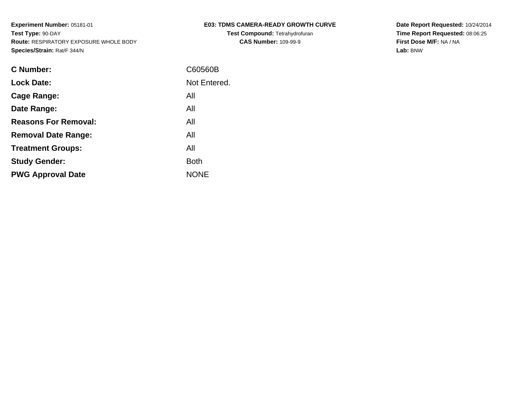**Test Compound:** Tetrahydrofuran**CAS Number:** 109-99-9

**Date Report Requested:** 10/24/2014 **Time Report Requested:** 08:06:25**First Dose M/F:** NA / NA**Lab:** BNW

| C Number:                   | C60560B      |
|-----------------------------|--------------|
| <b>Lock Date:</b>           | Not Entered. |
| Cage Range:                 | All          |
| Date Range:                 | All          |
| <b>Reasons For Removal:</b> | All          |
| <b>Removal Date Range:</b>  | All          |
| <b>Treatment Groups:</b>    | All          |
| <b>Study Gender:</b>        | <b>Both</b>  |
| <b>PWG Approval Date</b>    | <b>NONE</b>  |
|                             |              |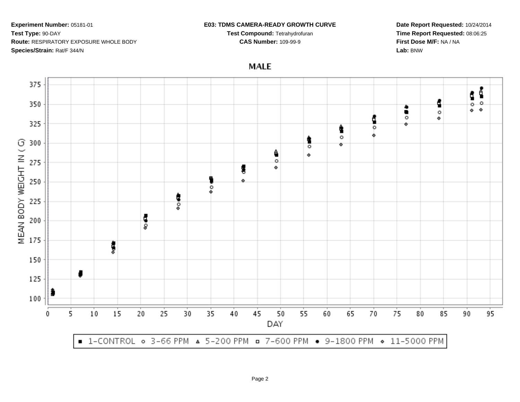## **E03: TDMS CAMERA-READY GROWTH CURVE**

**Test Compound:** Tetrahydrofuran**CAS Number:** 109-99-9

**Date Report Requested:** 10/24/2014**Time Report Requested:** 08:06:25**First Dose M/F:** NA / NA**Lab:** BNW

**MALE** 



Page 2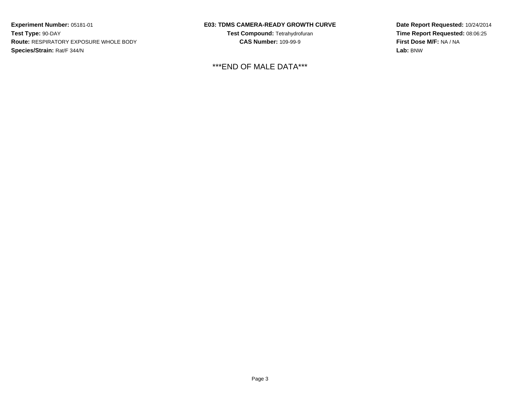## **E03: TDMS CAMERA-READY GROWTH CURVE**

**Test Compound:** Tetrahydrofuran**CAS Number:** 109-99-9

\*\*\*END OF MALE DATA\*\*\*

**Date Report Requested:** 10/24/2014**Time Report Requested:** 08:06:25**First Dose M/F:** NA / NA**Lab:** BNW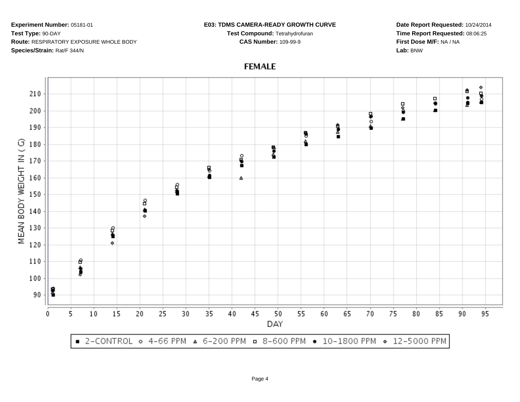## **E03: TDMS CAMERA-READY GROWTH CURVE**

**Test Compound:** Tetrahydrofuran**CAS Number:** 109-99-9

**Date Report Requested:** 10/24/2014**Time Report Requested:** 08:06:25**First Dose M/F:** NA / NA**Lab:** BNW



**FEMALE**